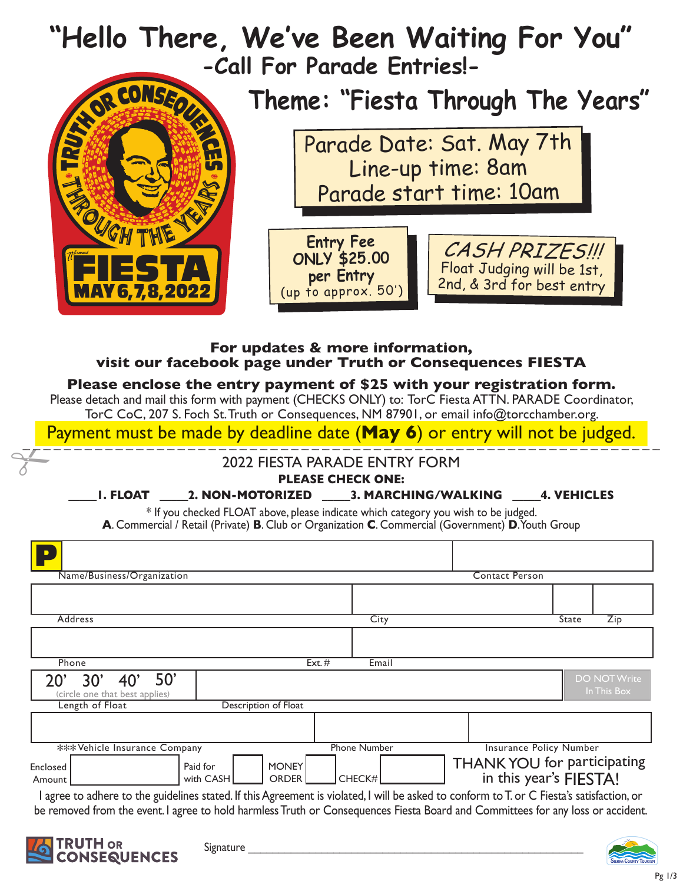

## **For updates & more information, visit our facebook page under Truth or Consequences FIESTA**

### **Please enclose the entry payment of \$25 with your registration form.**

Please detach and mail this form with payment (CHECKS ONLY) to: TorC Fiesta ATTN. PARADE Coordinator, TorC CoC, 207 S. Foch St. Truth or Consequences, NM 87901, or email info@torcchamber.org.

 $\frac{F}{\sqrt{1-\frac{F}{\sqrt{1-\frac{F}{\sqrt{1-\frac{F}{\sqrt{1-\frac{F}{\sqrt{1-\frac{F}{\sqrt{1-\frac{F}{\sqrt{1-\frac{F}{\sqrt{1-\frac{F}{\sqrt{1-\frac{F}{\sqrt{1-\frac{F}{\sqrt{1-\frac{F}{\sqrt{1-\frac{F}{\sqrt{1-\frac{F}{\sqrt{1-\frac{F}{\sqrt{1-\frac{F}{\sqrt{1-\frac{F}{\sqrt{1-\frac{F}{\sqrt{1-\frac{F}{\sqrt{1-\frac{F}{\sqrt{1-\frac{F}{\sqrt{1-\frac{F}{\sqrt{1-\frac{F}{\sqrt{1-\frac{F}{\sqrt{1-\frac{F$ Payment must be made by deadline date (May 6) or entry will not be judged.

# 2022 FIESTA PARADE ENTRY FORM

#### **Please check one:**

### **\_\_\_\_\_1. FLOAT \_\_\_\_\_2. NON-MOTORIZED \_\_\_\_\_3. MARCHING/WALKING \_\_\_\_\_4. VEHICLES**

\* If you checked FLOAT above, please indicate which category you wish to be judged. **A**. Commercial / Retail (Private) **B**. Club or Organization **C**. Commercial (Government) **D**. Youth Group

| City                |                                                       | $\overline{Zip}$<br>State                                                                                                                                                                                       |
|---------------------|-------------------------------------------------------|-----------------------------------------------------------------------------------------------------------------------------------------------------------------------------------------------------------------|
|                     |                                                       |                                                                                                                                                                                                                 |
| Email               |                                                       |                                                                                                                                                                                                                 |
|                     |                                                       | <b>DO NOT Write</b><br>In This Box                                                                                                                                                                              |
|                     |                                                       |                                                                                                                                                                                                                 |
|                     |                                                       |                                                                                                                                                                                                                 |
| <b>Phone Number</b> |                                                       |                                                                                                                                                                                                                 |
| CHECK#              | THANK YOU for participating<br>in this year's FIESTA! |                                                                                                                                                                                                                 |
|                     | Ext. $#$                                              | <b>Contact Person</b><br><b>Insurance Policy Number</b><br>agree to the guidelines to the direction or the detection of the Agreement is violated I will be asked to conform to T or C Fiesta's satisfaction or |

I agree to adhere to the guidelines stated. If this Agreement is violated, I will be asked to conform to T. or C Fiesta's satisfaction, or be removed from the event. I agree to hold harmless Truth or Consequences Fiesta Board and Committees for any loss or accident.



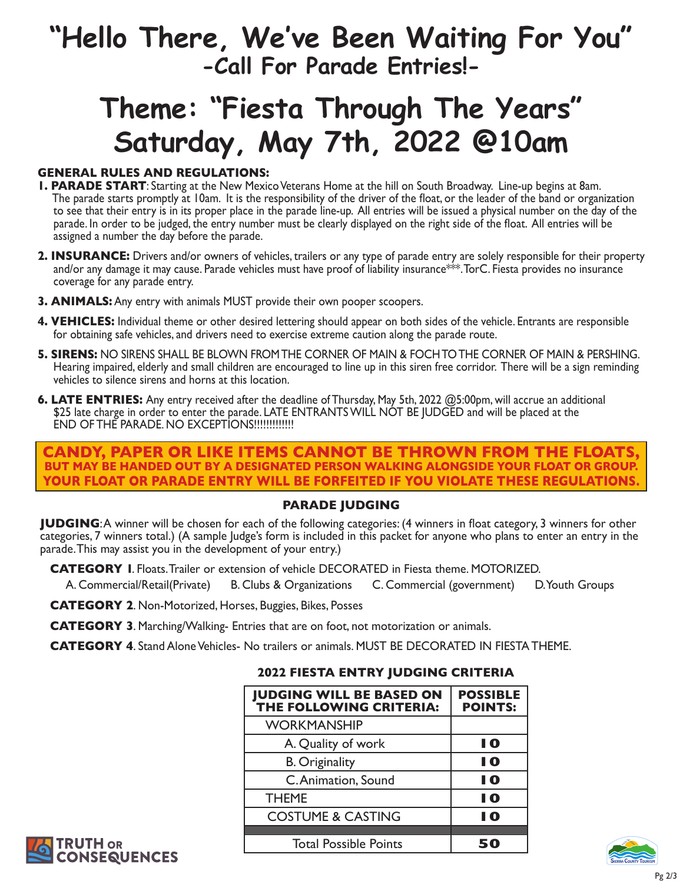# **"Hello There, We've Been Waiting For You" -Call For Parade Entries!-**

# **Theme: "Fiesta Through The Years" Saturday, May 7th, 2022 @10am**

### **General Rules and Regulations:**

- **1. PARADE START**: Starting at the New Mexico Veterans Home at the hill on South Broadway. Line-up begins at 8am. The parade starts promptly at 10am. It is the responsibility of the driver of the float, or the leader of the band or organization to see that their entry is in its proper place in the parade line-up. All entries will be issued a physical number on the day of the parade. In order to be judged, the entry number must be clearly displayed on the right side of the float. All entries will be assigned a number the day before the parade.
- **2. INSURANCE:** Drivers and/or owners of vehicles, trailers or any type of parade entry are solely responsible for their property and/or any damage it may cause. Parade vehicles must have proof of liability insurance\*\*\*. TorC. Fiesta provides no insurance coverage for any parade entry.
- **3. ANIMALS:** Any entry with animals MUST provide their own pooper scoopers.
- **4. VEHICLES:** Individual theme or other desired lettering should appear on both sides of the vehicle. Entrants are responsible for obtaining safe vehicles, and drivers need to exercise extreme caution along the parade route.
- **5. SIRENS:** NO SIRENS SHALL BE BLOWN FROM THE CORNER OF MAIN & FOCH TO THE CORNER OF MAIN & PERSHING. Hearing impaired, elderly and small children are encouraged to line up in this siren free corridor. There will be a sign reminding vehicles to silence sirens and horns at this location.
- **6. LATE ENTRIES:** Any entry received after the deadline of Thursday, May 5th, 2022 @5:00pm, will accrue an additional \$25 late charge in order to enter the parade. LATE ENTRANTS WILL NOT BE JUDGED and will be placed at the END OF THE PARADE. NO EXCEPTIONS!!!!!!!!!!!!!

### **CANDY, PAPER OR LIKE ITEMS CANNOT BE THROWN FROM THE FLOATS, but may be handed out by a designated person walking alongside your float or group. Your float or parade entry will be forfeited if you violate these regulations.**

### **PARADE JUDGING**

**JUDGING:** A winner will be chosen for each of the following categories: (4 winners in float category, 3 winners for other categories, 7 winners total.) (A sample Judge's form is included in this packet for anyone who plans to enter an entry in the parade. This may assist you in the development of your entry.)

**CATEGORY I.** Floats. Trailer or extension of vehicle DECORATED in Fiesta theme. MOTORIZED.

A. Commercial/Retail(Private) B. Clubs & Organizations C. Commercial (government) D. Youth Groups

- **CATEGORY 2. Non-Motorized, Horses, Buggies, Bikes, Posses**
- **CATEGORY 3.** Marching/Walking- Entries that are on foot, not motorization or animals.

**CATEGORY 4.** Stand Alone Vehicles- No trailers or animals. MUST BE DECORATED IN FIESTA THEME.

| <b>JUDGING WILL BE BASED ON</b><br>THE FOLLOWING CRITERIA: | <b>POSSIBLE</b><br><b>POINTS:</b> |
|------------------------------------------------------------|-----------------------------------|
| <b>WORKMANSHIP</b>                                         |                                   |
| A. Quality of work                                         | 10                                |
| <b>B.</b> Originality                                      | I 0                               |
| C. Animation, Sound                                        | I 0                               |
| <b>THEME</b>                                               | I 0                               |
| <b>COSTUME &amp; CASTING</b>                               | I Q                               |
|                                                            |                                   |
| <b>Total Possible Points</b>                               |                                   |

### **2022 Fiesta Entry Judging Criteria**